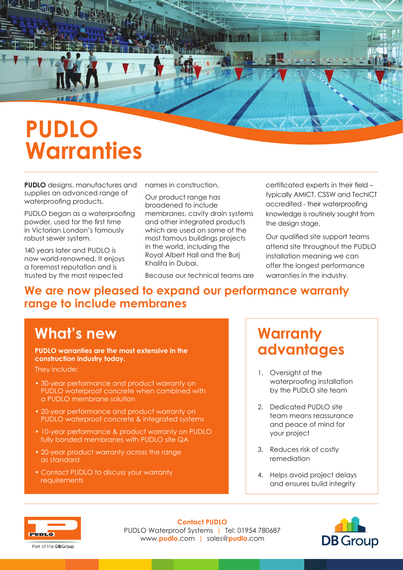# **PUDLO Warranties**

**PUDLO** designs, manufactures and supplies an advanced range of waterproofing products.

PUDLO began as a waterproofing powder, used for the first time in Victorian London's famously robust sewer system.

140 years later and PUDLO is now world-renowned. It enjoys a foremost reputation and is trusted by the most respected

names in construction.

Our product range has broadened to include membranes, cavity drain systems and other integrated products which are used on some of the most famous buildings projects in the world, including the Royal Albert Hall and the Burj Khalifa in Dubai.

Because our technical teams are

certificated experts in their field – typically AMICT, CSSW and TechICT accredited - their waterproofing knowledge is routinely sought from the design stage.

NANZ

Our qualified site support teams attend site throughout the PUDLO installation meaning we can offer the longest performance warranties in the industry.

## **We are now pleased to expand our performance warranty**

### **range to include membranes**

### **What's new**

**PUDLO warranties are the most extensive in the construction industry today.** 

They include:

- 30-year performance and product warranty on PUDLO waterproof concrete when combined with a PUDLO membrane solution
- 20-year performance and product warranty on PUDLO waterproof concrete & integrated systems
- 10-year performance & product warranty on PUDLO fully bonded membranes with PUDLO site QA
- 20-year product warranty across the range as standard
- Contact PUDLO to discuss your warranty **requirements**

### **Warranty advantages**

- 1. Oversight of the waterproofing installation by the PUDLO site team
- 2. Dedicated PUDLO site team means reassurance and peace of mind for your project
- 3. Reduces risk of costly remediation
- 4. Helps avoid project delays and ensures build integrity



Part of the **DBGroup** 

**Contact PUDLO**  PUDLO Waterproof Systems | Tel: 01954 780687 www.**pudlo**.com | sales@**pudlo**.com